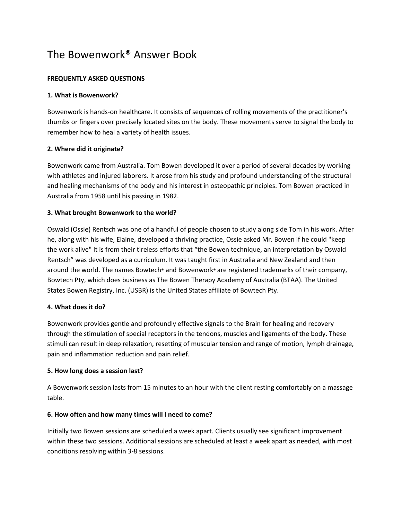# The Bowenwork® Answer Book

# **FREQUENTLY ASKED QUESTIONS**

#### **1. What is Bowenwork?**

Bowenwork is hands-on healthcare. It consists of sequences of rolling movements of the practitioner's thumbs or fingers over precisely located sites on the body. These movements serve to signal the body to remember how to heal a variety of health issues.

# **2. Where did it originate?**

Bowenwork came from Australia. Tom Bowen developed it over a period of several decades by working with athletes and injured laborers. It arose from his study and profound understanding of the structural and healing mechanisms of the body and his interest in osteopathic principles. Tom Bowen practiced in Australia from 1958 until his passing in 1982.

# **3. What brought Bowenwork to the world?**

Oswald (Ossie) Rentsch was one of a handful of people chosen to study along side Tom in his work. After he, along with his wife, Elaine, developed a thriving practice, Ossie asked Mr. Bowen if he could "keep the work alive" It is from their tireless efforts that "the Bowen technique, an interpretation by Oswald Rentsch" was developed as a curriculum. It was taught first in Australia and New Zealand and then around the world. The names Bowtech® and Bowenwork® are registered trademarks of their company, Bowtech Pty, which does business as The Bowen Therapy Academy of Australia (BTAA). The United States Bowen Registry, Inc. (USBR) is the United States affiliate of Bowtech Pty.

#### **4. What does it do?**

Bowenwork provides gentle and profoundly effective signals to the Brain for healing and recovery through the stimulation of special receptors in the tendons, muscles and ligaments of the body. These stimuli can result in deep relaxation, resetting of muscular tension and range of motion, lymph drainage, pain and inflammation reduction and pain relief.

#### **5. How long does a session last?**

A Bowenwork session lasts from 15 minutes to an hour with the client resting comfortably on a massage table.

#### **6. How often and how many times will I need to come?**

Initially two Bowen sessions are scheduled a week apart. Clients usually see significant improvement within these two sessions. Additional sessions are scheduled at least a week apart as needed, with most conditions resolving within 3-8 sessions.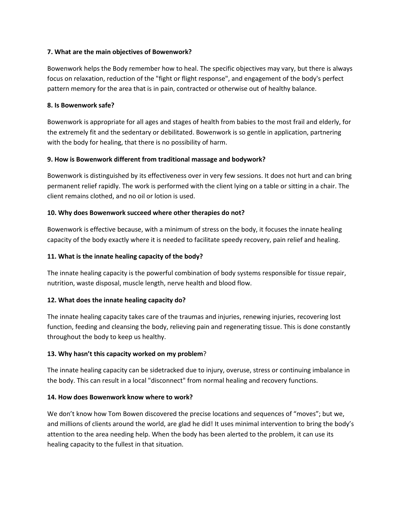# **7. What are the main objectives of Bowenwork?**

Bowenwork helps the Body remember how to heal. The specific objectives may vary, but there is always focus on relaxation, reduction of the "fight or flight response", and engagement of the body's perfect pattern memory for the area that is in pain, contracted or otherwise out of healthy balance.

# **8. Is Bowenwork safe?**

Bowenwork is appropriate for all ages and stages of health from babies to the most frail and elderly, for the extremely fit and the sedentary or debilitated. Bowenwork is so gentle in application, partnering with the body for healing, that there is no possibility of harm.

# **9. How is Bowenwork different from traditional massage and bodywork?**

Bowenwork is distinguished by its effectiveness over in very few sessions. It does not hurt and can bring permanent relief rapidly. The work is performed with the client lying on a table or sitting in a chair. The client remains clothed, and no oil or lotion is used.

# **10. Why does Bowenwork succeed where other therapies do not?**

Bowenwork is effective because, with a minimum of stress on the body, it focuses the innate healing capacity of the body exactly where it is needed to facilitate speedy recovery, pain relief and healing.

# **11. What is the innate healing capacity of the body?**

The innate healing capacity is the powerful combination of body systems responsible for tissue repair, nutrition, waste disposal, muscle length, nerve health and blood flow.

# **12. What does the innate healing capacity do?**

The innate healing capacity takes care of the traumas and injuries, renewing injuries, recovering lost function, feeding and cleansing the body, relieving pain and regenerating tissue. This is done constantly throughout the body to keep us healthy.

#### **13. Why hasn't this capacity worked on my problem**?

The innate healing capacity can be sidetracked due to injury, overuse, stress or continuing imbalance in the body. This can result in a local "disconnect" from normal healing and recovery functions.

#### **14. How does Bowenwork know where to work?**

We don't know how Tom Bowen discovered the precise locations and sequences of "moves"; but we, and millions of clients around the world, are glad he did! It uses minimal intervention to bring the body's attention to the area needing help. When the body has been alerted to the problem, it can use its healing capacity to the fullest in that situation.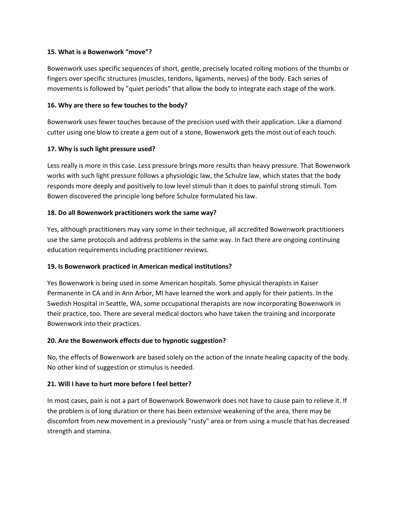### **15. What is a Bowenwork "move"?**

Bowenwork uses specific sequences of short, gentle, precisely located rolling motions of the thumbs or fingers over specific structures (muscles, tendons, ligaments, nerves) of the body. Each series of movements is followed by "quiet periods" that allow the body to integrate each stage of the work.

# **16. Why are there so few touches to the body?**

Bowenwork uses fewer touches because of the precision used with their application. Like a diamond cutter using one blow to create a gem out of a stone, Bowenwork gets the most out of each touch.

# **17. Why is such light pressure used?**

Less really is more in this case. Less pressure brings more results than heavy pressure. That Bowenwork works with such light pressure follows a physiologic law, the Schulze law, which states that the body responds more deeply and positively to low level stimuli than it does to painful strong stimuli. Tom Bowen discovered the principle long before Schulze formulated his law.

# **18. Do all Bowenwork practitioners work the same way?**

Yes, although practitioners may vary some in their technique, all accredited Bowenwork practitioners use the same protocols and address problems in the same way. In fact there are ongoing continuing education requirements including practitioner reviews.

# **19. Is Bowenwork practiced in American medical institutions?**

Yes Bowenwork is being used in some American hospitals. Some physical therapists in Kaiser Permanente in CA and in Ann Arbor, MI have learned the work and apply for their patients. In the Swedish Hospital in Seattle, WA, some occupational therapists are now incorporating Bowenwork in their practice, too. There are several medical doctors who have taken the training and incorporate Bowenwork into their practices.

#### **20. Are the Bowenwork effects due to hypnotic suggestion?**

No, the effects of Bowenwork are based solely on the action of the innate healing capacity of the body. No other kind of suggestion or stimulus is needed.

# **21. Will I have to hurt more before I feel better?**

In most cases, pain is not a part of Bowenwork. Bowenwork does not have to cause pain to relieve it. If the problem is of long duration or there has been extensive weakening of the area, there may be discomfort from new movement in a previously "rusty" area or from using a muscle that has decreased strength and stamina.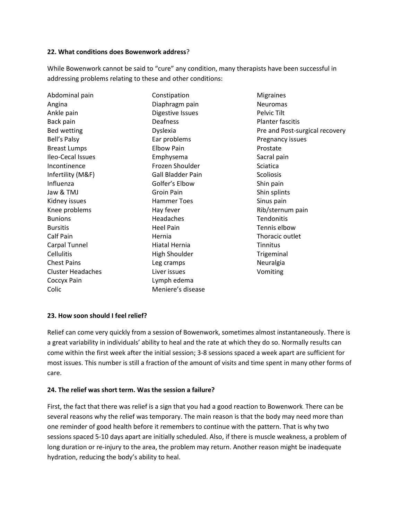#### **22. What conditions does Bowenwork address**?

While Bowenwork cannot be said to "cure" any condition, many therapists have been successful in addressing problems relating to these and other conditions:

| Abdominal pain           | Constipation             |
|--------------------------|--------------------------|
| Angina                   | Diaphragm pain           |
| Ankle pain               | Digestive Issues         |
| Back pain                | Deafness                 |
| <b>Bed wetting</b>       | Dyslexia                 |
| Bell's Palsy             | Ear problems             |
| <b>Breast Lumps</b>      | <b>Elbow Pain</b>        |
| Ileo-Cecal Issues        | Emphysema                |
| Incontinence             | Frozen Shoulder          |
| Infertility (M&F)        | <b>Gall Bladder Pain</b> |
| Influenza                | Golfer's Elbow           |
| Jaw & TMJ                | Groin Pain               |
| Kidney issues            | <b>Hammer Toes</b>       |
| Knee problems            | Hay fever                |
| <b>Bunions</b>           | Headaches                |
| <b>Bursitis</b>          | <b>Heel Pain</b>         |
| Calf Pain                | Hernia                   |
| Carpal Tunnel            | Hiatal Hernia            |
| <b>Cellulitis</b>        | <b>High Shoulder</b>     |
| <b>Chest Pains</b>       | Leg cramps               |
| <b>Cluster Headaches</b> | Liver issues             |
| Coccyx Pain              | Lymph edema              |
| Colic                    | Meniere's disease        |
|                          |                          |

**Migraines** Neuromas Pelvic Tilt Planter fascitis Pre and Post-surgical recovery Pregnancy issues Prostate Sacral pain Sciatica **Scoliosis** Shin pain Shin splints Sinus pain Rib/sternum pain **Tendonitis** Tennis elbow Thoracic outlet Tinnitus Trigeminal Neuralgia Vomiting

# **23. How soon should I feel relief?**

Relief can come very quickly from a session of Bowenwork, sometimes almost instantaneously. There is a great variability in individuals' ability to heal and the rate at which they do so. Normally results can come within the first week after the initial session; 3-8 sessions spaced a week apart are sufficient for most issues. This number is still a fraction of the amount of visits and time spent in many other forms of care.

#### **24. The relief was short term. Was the session a failure?**

First, the fact that there was relief is a sign that you had a good reaction to Bowenwork. There can be several reasons why the relief was temporary. The main reason is that the body may need more than one reminder of good health before it remembers to continue with the pattern. That is why two sessions spaced 5-10 days apart are initially scheduled. Also, if there is muscle weakness, a problem of long duration or re-injury to the area, the problem may return. Another reason might be inadequate hydration, reducing the body's ability to heal.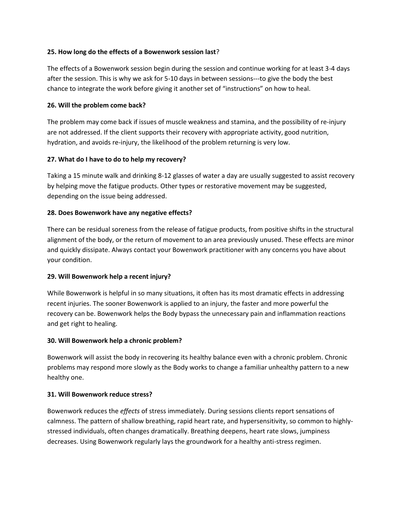## **25. How long do the effects of a Bowenwork session last**?

The effects of a Bowenwork session begin during the session and continue working for at least 3-4 days after the session. This is why we ask for 5-10 days in between sessions---to give the body the best chance to integrate the work before giving it another set of "instructions" on how to heal.

# **26. Will the problem come back?**

The problem may come back if issues of muscle weakness and stamina, and the possibility of re-injury are not addressed. If the client supports their recovery with appropriate activity, good nutrition, hydration, and avoids re-injury, the likelihood of the problem returning is very low.

# **27. What do I have to do to help my recovery?**

Taking a 15 minute walk and drinking 8-12 glasses of water a day are usually suggested to assist recovery by helping move the fatigue products. Other types or restorative movement may be suggested, depending on the issue being addressed.

# **28. Does Bowenwork have any negative effects?**

There can be residual soreness from the release of fatigue products, from positive shifts in the structural alignment of the body, or the return of movement to an area previously unused. These effects are minor and quickly dissipate. Always contact your Bowenwork practitioner with any concerns you have about your condition.

#### **29. Will Bowenwork help a recent injury?**

While Bowenwork is helpful in so many situations, it often has its most dramatic effects in addressing recent injuries. The sooner Bowenwork is applied to an injury, the faster and more powerful the recovery can be. Bowenwork helps the Body bypass the unnecessary pain and inflammation reactions and get right to healing.

#### **30. Will Bowenwork help a chronic problem?**

Bowenwork will assist the body in recovering its healthy balance even with a chronic problem. Chronic problems may respond more slowly as the Body works to change a familiar unhealthy pattern to a new healthy one.

#### **31. Will Bowenwork reduce stress?**

Bowenwork reduces the *effects* of stress immediately. During sessions clients report sensations of calmness. The pattern of shallow breathing, rapid heart rate, and hypersensitivity, so common to highlystressed individuals, often changes dramatically. Breathing deepens, heart rate slows, jumpiness decreases. Using Bowenwork regularly lays the groundwork for a healthy anti-stress regimen.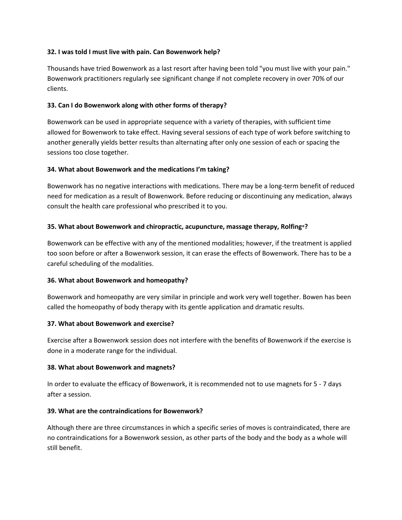# **32. I was told I must live with pain. Can Bowenwork help?**

Thousands have tried Bowenwork as a last resort after having been told "you must live with your pain." Bowenwork practitioners regularly see significant change if not complete recovery in over 70% of our clients.

# **33. Can I do Bowenwork along with other forms of therapy?**

Bowenwork can be used in appropriate sequence with a variety of therapies, with sufficient time allowed for Bowenwork to take effect. Having several sessions of each type of work before switching to another generally yields better results than alternating after only one session of each or spacing the sessions too close together.

# **34. What about Bowenwork and the medications I'm taking?**

Bowenwork has no negative interactions with medications. There may be a long-term benefit of reduced need for medication as a result of Bowenwork. Before reducing or discontinuing any medication, always consult the health care professional who prescribed it to you.

# **35. What about Bowenwork and chiropractic, acupuncture, massage therapy, Rolfing®?**

Bowenwork can be effective with any of the mentioned modalities; however, if the treatment is applied too soon before or after a Bowenwork session, it can erase the effects of Bowenwork. There has to be a careful scheduling of the modalities.

#### **36. What about Bowenwork and homeopathy?**

Bowenwork and homeopathy are very similar in principle and work very well together. Bowen has been called the homeopathy of body therapy with its gentle application and dramatic results.

#### **37. What about Bowenwork and exercise?**

Exercise after a Bowenwork session does not interfere with the benefits of Bowenwork if the exercise is done in a moderate range for the individual.

#### **38. What about Bowenwork and magnets?**

In order to evaluate the efficacy of Bowenwork, it is recommended not to use magnets for 5 - 7 days after a session.

#### **39. What are the contraindications for Bowenwork?**

Although there are three circumstances in which a specific series of moves is contraindicated, there are no contraindications for a Bowenwork session, as other parts of the body and the body as a whole will still benefit.